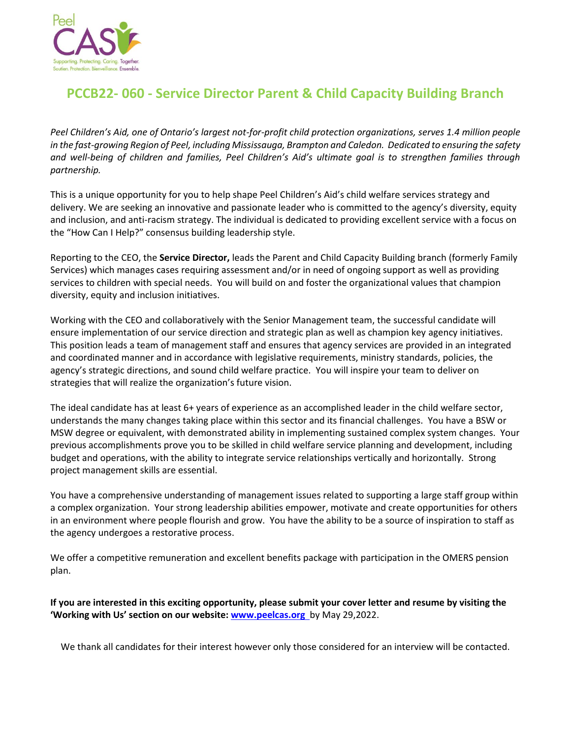

## **PCCB22- 060 - Service Director Parent & Child Capacity Building Branch**

*Peel Children's Aid, one of Ontario's largest not-for-profit child protection organizations, serves 1.4 million people in the fast-growing Region of Peel, including Mississauga, Brampton and Caledon. Dedicated to ensuring the safety and well-being of children and families, Peel Children's Aid's ultimate goal is to strengthen families through partnership.* 

This is a unique opportunity for you to help shape Peel Children's Aid's child welfare services strategy and delivery. We are seeking an innovative and passionate leader who is committed to the agency's diversity, equity and inclusion, and anti-racism strategy. The individual is dedicated to providing excellent service with a focus on the "How Can I Help?" consensus building leadership style.

Reporting to the CEO, the **Service Director,** leads the Parent and Child Capacity Building branch (formerly Family Services) which manages cases requiring assessment and/or in need of ongoing support as well as providing services to children with special needs. You will build on and foster the organizational values that champion diversity, equity and inclusion initiatives.

Working with the CEO and collaboratively with the Senior Management team, the successful candidate will ensure implementation of our service direction and strategic plan as well as champion key agency initiatives. This position leads a team of management staff and ensures that agency services are provided in an integrated and coordinated manner and in accordance with legislative requirements, ministry standards, policies, the agency's strategic directions, and sound child welfare practice. You will inspire your team to deliver on strategies that will realize the organization's future vision.

The ideal candidate has at least 6+ years of experience as an accomplished leader in the child welfare sector, understands the many changes taking place within this sector and its financial challenges. You have a BSW or MSW degree or equivalent, with demonstrated ability in implementing sustained complex system changes. Your previous accomplishments prove you to be skilled in child welfare service planning and development, including budget and operations, with the ability to integrate service relationships vertically and horizontally. Strong project management skills are essential.

You have a comprehensive understanding of management issues related to supporting a large staff group within a complex organization. Your strong leadership abilities empower, motivate and create opportunities for others in an environment where people flourish and grow. You have the ability to be a source of inspiration to staff as the agency undergoes a restorative process.

We offer a competitive remuneration and excellent benefits package with participation in the OMERS pension plan.

**If you are interested in this exciting opportunity, please submit your cover letter and resume by visiting the 'Working with Us' section on our website: [www.peelcas.org](http://www.peelcas.org/)** by May 29,2022.

We thank all candidates for their interest however only those considered for an interview will be contacted.